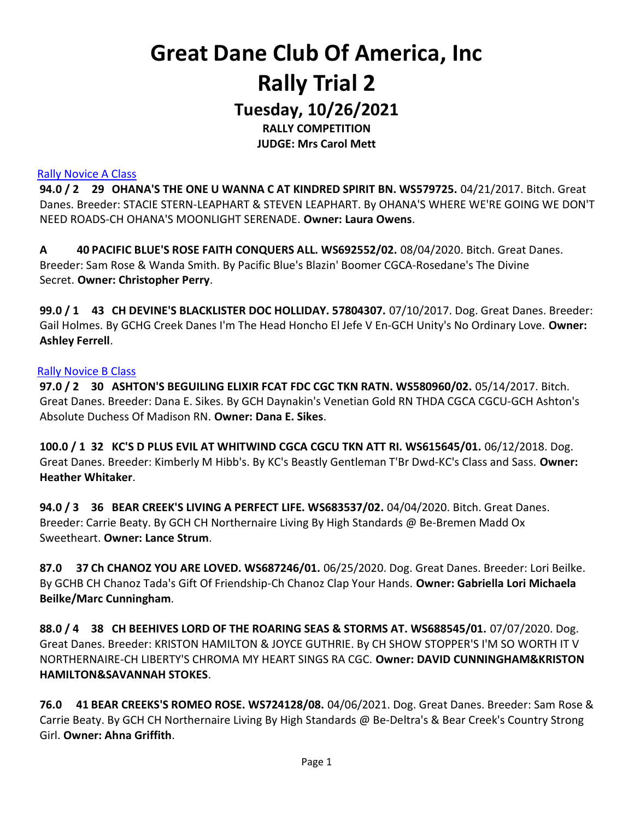Tuesday, 10/26/2021 RALLY COMPETITION

JUDGE: Mrs Carol Mett

#### Rally Novice A Class

94.0 / 2 29 OHANA'S THE ONE U WANNA C AT KINDRED SPIRIT BN. WS579725. 04/21/2017. Bitch. Great Danes. Breeder: STACIE STERN-LEAPHART & STEVEN LEAPHART. By OHANA'S WHERE WE'RE GOING WE DON'T NEED ROADS-CH OHANA'S MOONLIGHT SERENADE. Owner: Laura Owens.

A 40 PACIFIC BLUE'S ROSE FAITH CONQUERS ALL. WS692552/02. 08/04/2020. Bitch. Great Danes. Breeder: Sam Rose & Wanda Smith. By Pacific Blue's Blazin' Boomer CGCA-Rosedane's The Divine Secret. Owner: Christopher Perry.

99.0 / 1 43 CH DEVINE'S BLACKLISTER DOC HOLLIDAY. 57804307. 07/10/2017. Dog. Great Danes. Breeder: Gail Holmes. By GCHG Creek Danes I'm The Head Honcho El Jefe V En-GCH Unity's No Ordinary Love. Owner: Ashley Ferrell.

#### Rally Novice B Class

97.0 / 2 30 ASHTON'S BEGUILING ELIXIR FCAT FDC CGC TKN RATN. WS580960/02. 05/14/2017. Bitch. Great Danes. Breeder: Dana E. Sikes. By GCH Daynakin's Venetian Gold RN THDA CGCA CGCU-GCH Ashton's Absolute Duchess Of Madison RN. Owner: Dana E. Sikes.

100.0 / 1 32 KC'S D PLUS EVIL AT WHITWIND CGCA CGCU TKN ATT RI. WS615645/01. 06/12/2018. Dog. Great Danes. Breeder: Kimberly M Hibb's. By KC's Beastly Gentleman T'Br Dwd-KC's Class and Sass. Owner: Heather Whitaker.

94.0 / 3 36 BEAR CREEK'S LIVING A PERFECT LIFE. WS683537/02. 04/04/2020. Bitch. Great Danes. Breeder: Carrie Beaty. By GCH CH Northernaire Living By High Standards @ Be-Bremen Madd Ox Sweetheart. Owner: Lance Strum.

87.0 37 Ch CHANOZ YOU ARE LOVED. WS687246/01. 06/25/2020. Dog. Great Danes. Breeder: Lori Beilke. By GCHB CH Chanoz Tada's Gift Of Friendship-Ch Chanoz Clap Your Hands. Owner: Gabriella Lori Michaela Beilke/Marc Cunningham.

88.0 / 4 38 CH BEEHIVES LORD OF THE ROARING SEAS & STORMS AT. WS688545/01. 07/07/2020. Dog. Great Danes. Breeder: KRISTON HAMILTON & JOYCE GUTHRIE. By CH SHOW STOPPER'S I'M SO WORTH IT V NORTHERNAIRE-CH LIBERTY'S CHROMA MY HEART SINGS RA CGC. Owner: DAVID CUNNINGHAM&KRISTON HAMILTON&SAVANNAH STOKES.

76.0 41 BEAR CREEKS'S ROMEO ROSE. WS724128/08. 04/06/2021. Dog. Great Danes. Breeder: Sam Rose & Carrie Beaty. By GCH CH Northernaire Living By High Standards @ Be-Deltra's & Bear Creek's Country Strong Girl. Owner: Ahna Griffith.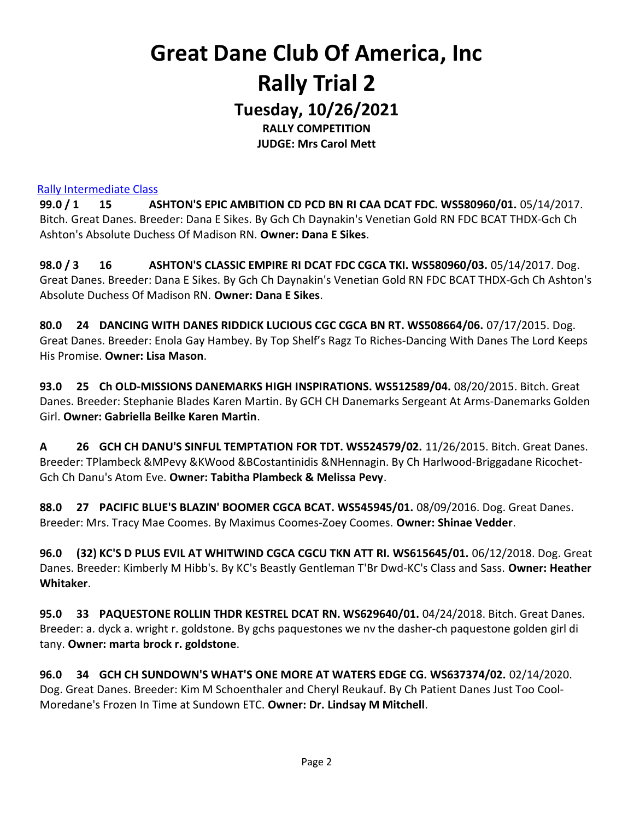## Great Dane Club Of America, Inc Rally Trial 2 Tuesday, 10/26/2021

RALLY COMPETITION JUDGE: Mrs Carol Mett

#### Rally Intermediate Class

99.0 / 1 15 ASHTON'S EPIC AMBITION CD PCD BN RI CAA DCAT FDC. WS580960/01. 05/14/2017. Bitch. Great Danes. Breeder: Dana E Sikes. By Gch Ch Daynakin's Venetian Gold RN FDC BCAT THDX-Gch Ch Ashton's Absolute Duchess Of Madison RN. Owner: Dana E Sikes.

98.0 / 3 16 ASHTON'S CLASSIC EMPIRE RI DCAT FDC CGCA TKI. WS580960/03. 05/14/2017. Dog. Great Danes. Breeder: Dana E Sikes. By Gch Ch Daynakin's Venetian Gold RN FDC BCAT THDX-Gch Ch Ashton's Absolute Duchess Of Madison RN. Owner: Dana E Sikes.

80.0 24 DANCING WITH DANES RIDDICK LUCIOUS CGC CGCA BN RT. WS508664/06. 07/17/2015. Dog. Great Danes. Breeder: Enola Gay Hambey. By Top Shelf's Ragz To Riches-Dancing With Danes The Lord Keeps His Promise. Owner: Lisa Mason.

93.0 25 Ch OLD-MISSIONS DANEMARKS HIGH INSPIRATIONS. WS512589/04. 08/20/2015. Bitch. Great Danes. Breeder: Stephanie Blades Karen Martin. By GCH CH Danemarks Sergeant At Arms-Danemarks Golden Girl. Owner: Gabriella Beilke Karen Martin.

A 26 GCH CH DANU'S SINFUL TEMPTATION FOR TDT. WS524579/02. 11/26/2015. Bitch. Great Danes. Breeder: TPlambeck &MPevy &KWood &BCostantinidis &NHennagin. By Ch Harlwood-Briggadane Ricochet-Gch Ch Danu's Atom Eve. Owner: Tabitha Plambeck & Melissa Pevy.

88.0 27 PACIFIC BLUE'S BLAZIN' BOOMER CGCA BCAT. WS545945/01. 08/09/2016. Dog. Great Danes. Breeder: Mrs. Tracy Mae Coomes. By Maximus Coomes-Zoey Coomes. Owner: Shinae Vedder.

96.0 (32) KC'S D PLUS EVIL AT WHITWIND CGCA CGCU TKN ATT RI. WS615645/01. 06/12/2018. Dog. Great Danes. Breeder: Kimberly M Hibb's. By KC's Beastly Gentleman T'Br Dwd-KC's Class and Sass. Owner: Heather Whitaker.

95.0 33 PAQUESTONE ROLLIN THDR KESTREL DCAT RN. WS629640/01. 04/24/2018. Bitch. Great Danes. Breeder: a. dyck a. wright r. goldstone. By gchs paquestones we nv the dasher-ch paquestone golden girl di tany. Owner: marta brock r. goldstone.

96.0 34 GCH CH SUNDOWN'S WHAT'S ONE MORE AT WATERS EDGE CG. WS637374/02. 02/14/2020. Dog. Great Danes. Breeder: Kim M Schoenthaler and Cheryl Reukauf. By Ch Patient Danes Just Too Cool-Moredane's Frozen In Time at Sundown ETC. Owner: Dr. Lindsay M Mitchell.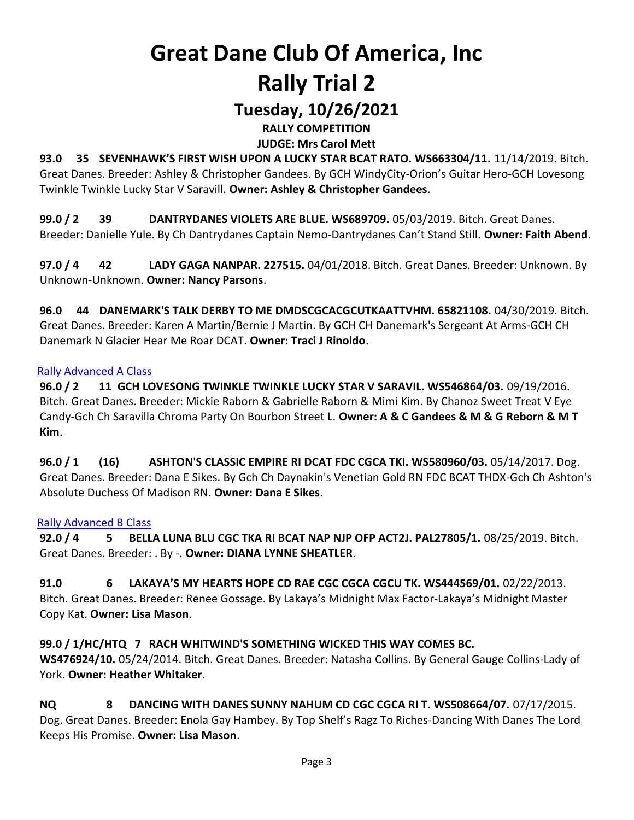## Tuesday, 10/26/2021

RALLY COMPETITION

JUDGE: Mrs Carol Mett

93.0 35 SEVENHAWK'S FIRST WISH UPON A LUCKY STAR BCAT RATO. WS663304/11. 11/14/2019. Bitch. Great Danes. Breeder: Ashley & Christopher Gandees. By GCH WindyCity-Orion's Guitar Hero-GCH Lovesong Twinkle Twinkle Lucky Star V Saravill. Owner: Ashley & Christopher Gandees.

99.0 / 2 39 DANTRYDANES VIOLETS ARE BLUE. WS689709. 05/03/2019. Bitch. Great Danes. Breeder: Danielle Yule. By Ch Dantrydanes Captain Nemo-Dantrydanes Can't Stand Still. Owner: Faith Abend.

97.0 / 4 42 LADY GAGA NANPAR. 227515. 04/01/2018. Bitch. Great Danes. Breeder: Unknown. By Unknown-Unknown. Owner: Nancy Parsons.

96.0 44 DANEMARK'S TALK DERBY TO ME DMDSCGCACGCUTKAATTVHM. 65821108. 04/30/2019. Bitch. Great Danes. Breeder: Karen A Martin/Bernie J Martin. By GCH CH Danemark's Sergeant At Arms-GCH CH Danemark N Glacier Hear Me Roar DCAT. Owner: Traci J Rinoldo.

## Rally Advanced A Class

96.0 / 2 11 GCH LOVESONG TWINKLE TWINKLE LUCKY STAR V SARAVIL. WS546864/03. 09/19/2016. Bitch. Great Danes. Breeder: Mickie Raborn & Gabrielle Raborn & Mimi Kim. By Chanoz Sweet Treat V Eye Candy-Gch Ch Saravilla Chroma Party On Bourbon Street L. Owner: A & C Gandees & M & G Reborn & M T Kim.

96.0 / 1 (16) ASHTON'S CLASSIC EMPIRE RI DCAT FDC CGCA TKI. WS580960/03. 05/14/2017. Dog. Great Danes. Breeder: Dana E Sikes. By Gch Ch Daynakin's Venetian Gold RN FDC BCAT THDX-Gch Ch Ashton's Absolute Duchess Of Madison RN. Owner: Dana E Sikes.

## Rally Advanced B Class

92.0 / 4 5 BELLA LUNA BLU CGC TKA RI BCAT NAP NJP OFP ACT2J. PAL27805/1. 08/25/2019. Bitch. Great Danes. Breeder: . By -. Owner: DIANA LYNNE SHEATLER.

91.0 6 LAKAYA'S MY HEARTS HOPE CD RAE CGC CGCA CGCU TK. WS444569/01. 02/22/2013. Bitch. Great Danes. Breeder: Renee Gossage. By Lakaya's Midnight Max Factor-Lakaya's Midnight Master Copy Kat. Owner: Lisa Mason.

99.0 / 1/HC/HTQ 7 RACH WHITWIND'S SOMETHING WICKED THIS WAY COMES BC. WS476924/10. 05/24/2014. Bitch. Great Danes. Breeder: Natasha Collins. By General Gauge Collins-Lady of York. Owner: Heather Whitaker.

NQ 8 DANCING WITH DANES SUNNY NAHUM CD CGC CGCA RI T. WS508664/07. 07/17/2015. Dog. Great Danes. Breeder: Enola Gay Hambey. By Top Shelf's Ragz To Riches-Dancing With Danes The Lord Keeps His Promise. Owner: Lisa Mason.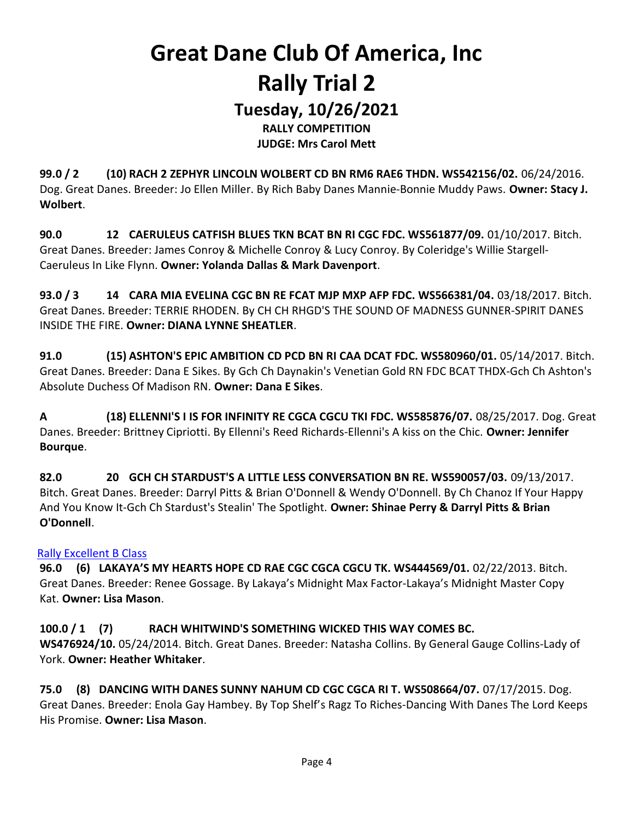## Tuesday, 10/26/2021

RALLY COMPETITION JUDGE: Mrs Carol Mett

99.0 / 2 (10) RACH 2 ZEPHYR LINCOLN WOLBERT CD BN RM6 RAE6 THDN. WS542156/02. 06/24/2016. Dog. Great Danes. Breeder: Jo Ellen Miller. By Rich Baby Danes Mannie-Bonnie Muddy Paws. Owner: Stacy J. Wolbert.

90.0 12 CAERULEUS CATFISH BLUES TKN BCAT BN RI CGC FDC. WS561877/09. 01/10/2017. Bitch. Great Danes. Breeder: James Conroy & Michelle Conroy & Lucy Conroy. By Coleridge's Willie Stargell-Caeruleus In Like Flynn. Owner: Yolanda Dallas & Mark Davenport.

93.0 / 3 14 CARA MIA EVELINA CGC BN RE FCAT MJP MXP AFP FDC. WS566381/04. 03/18/2017. Bitch. Great Danes. Breeder: TERRIE RHODEN. By CH CH RHGD'S THE SOUND OF MADNESS GUNNER-SPIRIT DANES INSIDE THE FIRE. Owner: DIANA LYNNE SHEATLER.

91.0 (15) ASHTON'S EPIC AMBITION CD PCD BN RI CAA DCAT FDC. WS580960/01. 05/14/2017. Bitch. Great Danes. Breeder: Dana E Sikes. By Gch Ch Daynakin's Venetian Gold RN FDC BCAT THDX-Gch Ch Ashton's Absolute Duchess Of Madison RN. Owner: Dana E Sikes.

A (18) ELLENNI'S I IS FOR INFINITY RE CGCA CGCU TKI FDC. WS585876/07. 08/25/2017. Dog. Great Danes. Breeder: Brittney Cipriotti. By Ellenni's Reed Richards-Ellenni's A kiss on the Chic. Owner: Jennifer Bourque.

82.0 20 GCH CH STARDUST'S A LITTLE LESS CONVERSATION BN RE. WS590057/03. 09/13/2017. Bitch. Great Danes. Breeder: Darryl Pitts & Brian O'Donnell & Wendy O'Donnell. By Ch Chanoz If Your Happy And You Know It-Gch Ch Stardust's Stealin' The Spotlight. Owner: Shinae Perry & Darryl Pitts & Brian O'Donnell.

## Rally Excellent B Class

96.0 (6) LAKAYA'S MY HEARTS HOPE CD RAE CGC CGCA CGCU TK. WS444569/01. 02/22/2013. Bitch. Great Danes. Breeder: Renee Gossage. By Lakaya's Midnight Max Factor-Lakaya's Midnight Master Copy Kat. Owner: Lisa Mason.

## 100.0 / 1 (7) RACH WHITWIND'S SOMETHING WICKED THIS WAY COMES BC. WS476924/10. 05/24/2014. Bitch. Great Danes. Breeder: Natasha Collins. By General Gauge Collins-Lady of York. Owner: Heather Whitaker.

75.0 (8) DANCING WITH DANES SUNNY NAHUM CD CGC CGCA RI T. WS508664/07. 07/17/2015. Dog. Great Danes. Breeder: Enola Gay Hambey. By Top Shelf's Ragz To Riches-Dancing With Danes The Lord Keeps His Promise. Owner: Lisa Mason.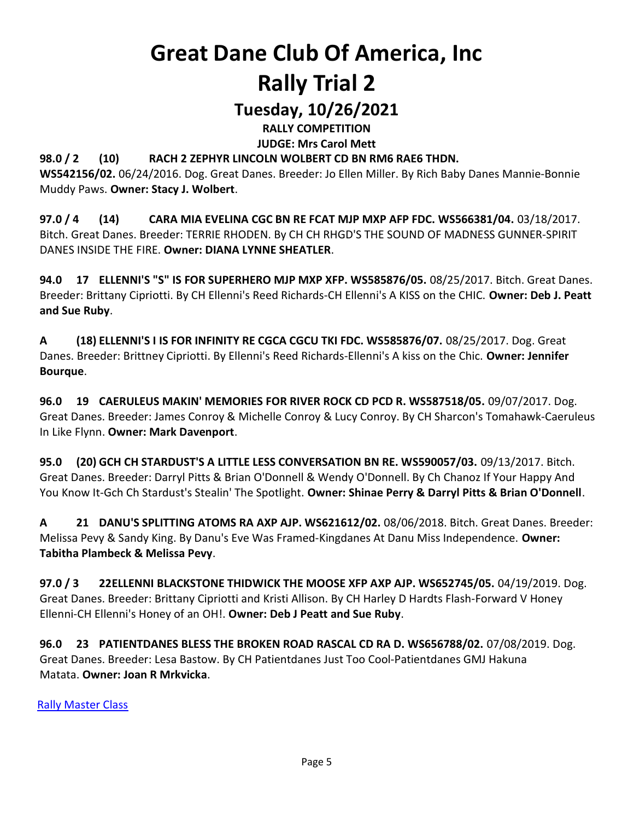## Tuesday, 10/26/2021

RALLY COMPETITION

JUDGE: Mrs Carol Mett

## 98.0 / 2 (10) RACH 2 ZEPHYR LINCOLN WOLBERT CD BN RM6 RAE6 THDN.

WS542156/02. 06/24/2016. Dog. Great Danes. Breeder: Jo Ellen Miller. By Rich Baby Danes Mannie-Bonnie Muddy Paws. Owner: Stacy J. Wolbert.

97.0 / 4 (14) CARA MIA EVELINA CGC BN RE FCAT MJP MXP AFP FDC. WS566381/04. 03/18/2017. Bitch. Great Danes. Breeder: TERRIE RHODEN. By CH CH RHGD'S THE SOUND OF MADNESS GUNNER-SPIRIT DANES INSIDE THE FIRE. Owner: DIANA LYNNE SHEATLER.

94.0 17 ELLENNI'S "S" IS FOR SUPERHERO MJP MXP XFP. WS585876/05. 08/25/2017. Bitch. Great Danes. Breeder: Brittany Cipriotti. By CH Ellenni's Reed Richards-CH Ellenni's A KISS on the CHIC. Owner: Deb J. Peatt and Sue Ruby.

A (18) ELLENNI'S I IS FOR INFINITY RE CGCA CGCU TKI FDC. WS585876/07. 08/25/2017. Dog. Great Danes. Breeder: Brittney Cipriotti. By Ellenni's Reed Richards-Ellenni's A kiss on the Chic. Owner: Jennifer Bourque.

96.0 19 CAERULEUS MAKIN' MEMORIES FOR RIVER ROCK CD PCD R. WS587518/05. 09/07/2017. Dog. Great Danes. Breeder: James Conroy & Michelle Conroy & Lucy Conroy. By CH Sharcon's Tomahawk-Caeruleus In Like Flynn. Owner: Mark Davenport.

95.0 (20) GCH CH STARDUST'S A LITTLE LESS CONVERSATION BN RE. WS590057/03. 09/13/2017. Bitch. Great Danes. Breeder: Darryl Pitts & Brian O'Donnell & Wendy O'Donnell. By Ch Chanoz If Your Happy And You Know It-Gch Ch Stardust's Stealin' The Spotlight. Owner: Shinae Perry & Darryl Pitts & Brian O'Donnell.

A 21 DANU'S SPLITTING ATOMS RA AXP AJP. WS621612/02. 08/06/2018. Bitch. Great Danes. Breeder: Melissa Pevy & Sandy King. By Danu's Eve Was Framed-Kingdanes At Danu Miss Independence. Owner: Tabitha Plambeck & Melissa Pevy.

97.0 / 3 22ELLENNI BLACKSTONE THIDWICK THE MOOSE XFP AXP AJP. WS652745/05. 04/19/2019. Dog. Great Danes. Breeder: Brittany Cipriotti and Kristi Allison. By CH Harley D Hardts Flash-Forward V Honey Ellenni-CH Ellenni's Honey of an OH!. Owner: Deb J Peatt and Sue Ruby.

96.0 23 PATIENTDANES BLESS THE BROKEN ROAD RASCAL CD RA D. WS656788/02. 07/08/2019. Dog. Great Danes. Breeder: Lesa Bastow. By CH Patientdanes Just Too Cool-Patientdanes GMJ Hakuna Matata. Owner: Joan R Mrkvicka.

Rally Master Class